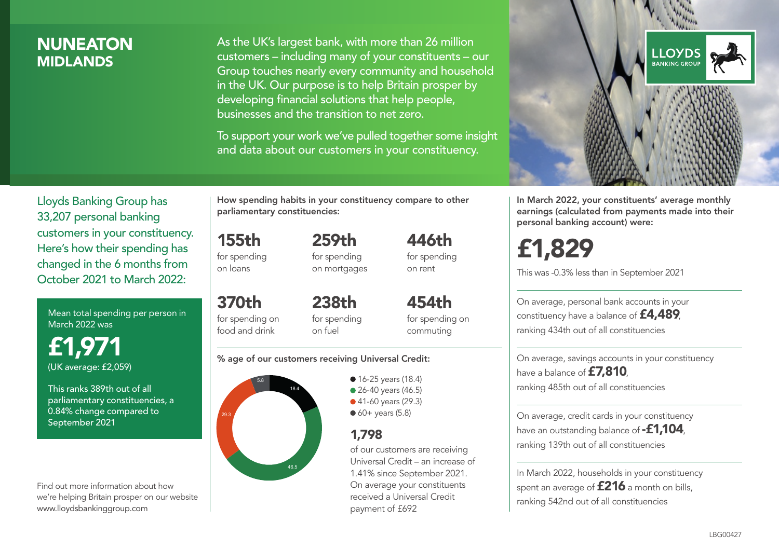### **NUNEATON MIDI ANDS**

As the UK's largest bank, with more than 26 million customers – including many of your constituents – our Group touches nearly every community and household in the UK. Our purpose is to help Britain prosper by developing financial solutions that help people, businesses and the transition to net zero.

To support your work we've pulled together some insight and data about our customers in your constituency.



Mean total spending per person in March 2022 was

£1,971 (UK average: £2,059)

This ranks 389th out of all parliamentary constituencies, a 0.84% change compared to September 2021

Find out more information about how we're helping Britain prosper on our website www.lloydsbankinggroup.com

How spending habits in your constituency compare to other parliamentary constituencies:

259th

155th for spending

on loans

370th for spending on food and drink

for spending on mortgages 446th for spending on rent

238th for spending on fuel

454th for spending on commuting

#### % age of our customers receiving Universal Credit:



• 16-25 years (18.4) • 26-40 years (46.5) ● 41-60 years (29.3)  $60+$  years (5.8)

### 1,798

of our customers are receiving Universal Credit – an increase of 1.41% since September 2021. On average your constituents received a Universal Credit payment of £692



In March 2022, your constituents' average monthly earnings (calculated from payments made into their personal banking account) were:

# £1,829

This was -0.3% less than in September 2021

On average, personal bank accounts in your constituency have a balance of £4,489, ranking 434th out of all constituencies

On average, savings accounts in your constituency have a balance of £7,810, ranking 485th out of all constituencies

On average, credit cards in your constituency have an outstanding balance of  $-$ £1,104 ranking 139th out of all constituencies

In March 2022, households in your constituency spent an average of £216 a month on bills, ranking 542nd out of all constituencies